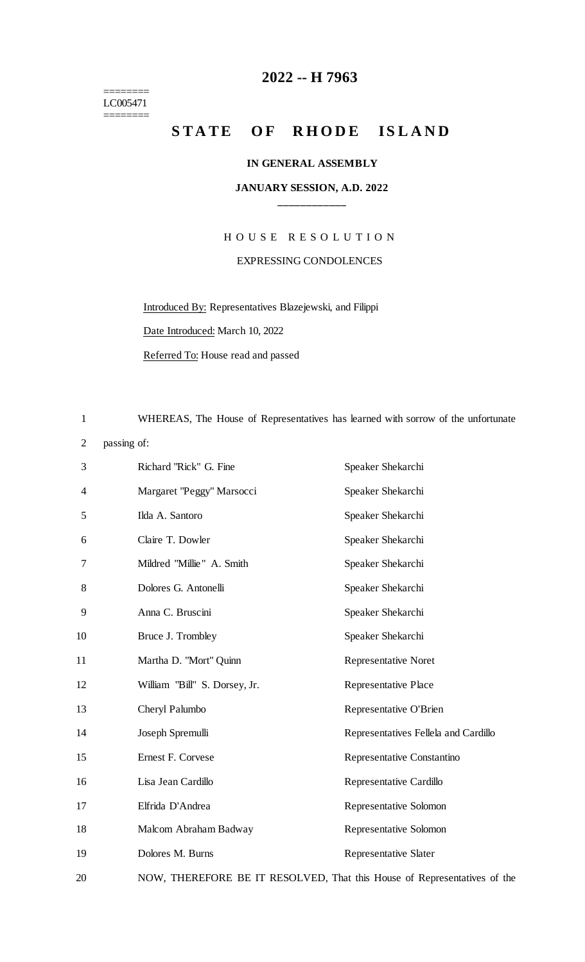======== LC005471

 $=$ 

### **-- H 7963**

## **STATE OF RHODE ISLAND**

#### **IN GENERAL ASSEMBLY**

#### **JANUARY SESSION, A.D. 2022 \_\_\_\_\_\_\_\_\_\_\_\_**

# H O U S E R E S O L U T I O N EXPRESSING CONDOLENCES

Introduced By: Representatives Blazejewski, and Filippi

Date Introduced: March 10, 2022

Referred To: House read and passed

WHEREAS, The House of Representatives has learned with sorrow of the unfortunate

passing of:

| 3              | Richard "Rick" G. Fine                                                   | Speaker Shekarchi                    |
|----------------|--------------------------------------------------------------------------|--------------------------------------|
| $\overline{4}$ | Margaret "Peggy" Marsocci                                                | Speaker Shekarchi                    |
| 5              | Ilda A. Santoro                                                          | Speaker Shekarchi                    |
| 6              | Claire T. Dowler                                                         | Speaker Shekarchi                    |
| 7              | Mildred "Millie" A. Smith                                                | Speaker Shekarchi                    |
| 8              | Dolores G. Antonelli                                                     | Speaker Shekarchi                    |
| 9              | Anna C. Bruscini                                                         | Speaker Shekarchi                    |
| 10             | Bruce J. Trombley                                                        | Speaker Shekarchi                    |
| 11             | Martha D. "Mort" Quinn                                                   | <b>Representative Noret</b>          |
| 12             | William "Bill" S. Dorsey, Jr.                                            | <b>Representative Place</b>          |
| 13             | Cheryl Palumbo                                                           | Representative O'Brien               |
| 14             | Joseph Spremulli                                                         | Representatives Fellela and Cardillo |
| 15             | Ernest F. Corvese                                                        | Representative Constantino           |
| 16             | Lisa Jean Cardillo                                                       | Representative Cardillo              |
| 17             | Elfrida D'Andrea                                                         | Representative Solomon               |
| 18             | Malcom Abraham Badway                                                    | Representative Solomon               |
| 19             | Dolores M. Burns                                                         | <b>Representative Slater</b>         |
| 20             | NOW, THEREFORE BE IT RESOLVED, That this House of Representatives of the |                                      |